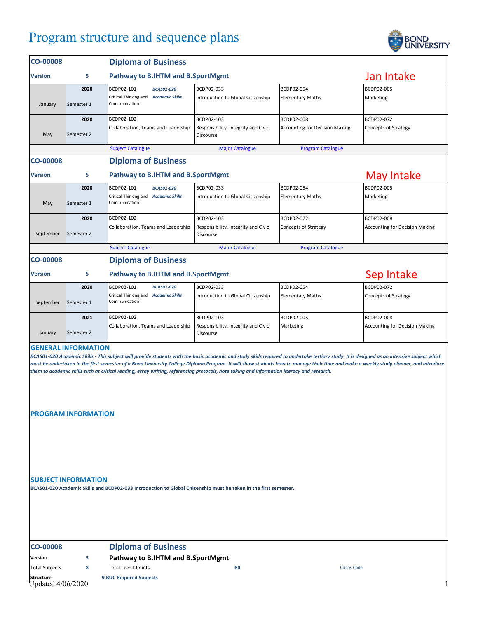## Program structure and sequence plans



| <b>CO-00008</b>                                                                                                                                                                                                                                                                                                                                                                                                                                                                                                                                                 |            | <b>Diploma of Business</b>                             |                                                  |                                       |                                       |  |  |
|-----------------------------------------------------------------------------------------------------------------------------------------------------------------------------------------------------------------------------------------------------------------------------------------------------------------------------------------------------------------------------------------------------------------------------------------------------------------------------------------------------------------------------------------------------------------|------------|--------------------------------------------------------|--------------------------------------------------|---------------------------------------|---------------------------------------|--|--|
| <b>Version</b>                                                                                                                                                                                                                                                                                                                                                                                                                                                                                                                                                  | 5          | Pathway to B.IHTM and B.SportMgmt                      |                                                  |                                       | Jan Intake                            |  |  |
|                                                                                                                                                                                                                                                                                                                                                                                                                                                                                                                                                                 | 2020       | BCDP02-101<br><b>BCAS01-020</b>                        | BCDP02-033                                       | BCDP02-054                            | BCDP02-005                            |  |  |
| January                                                                                                                                                                                                                                                                                                                                                                                                                                                                                                                                                         | Semester 1 | Critical Thinking and Academic Skills<br>Communication | Introduction to Global Citizenship               | <b>Elementary Maths</b>               | Marketing                             |  |  |
|                                                                                                                                                                                                                                                                                                                                                                                                                                                                                                                                                                 | 2020       | BCDP02-102                                             | BCDP02-103                                       | BCDP02-008                            | BCDP02-072                            |  |  |
| May                                                                                                                                                                                                                                                                                                                                                                                                                                                                                                                                                             | Semester 2 | Collaboration, Teams and Leadership                    | Responsibility, Integrity and Civic<br>Discourse | <b>Accounting for Decision Making</b> | <b>Concepts of Strategy</b>           |  |  |
|                                                                                                                                                                                                                                                                                                                                                                                                                                                                                                                                                                 |            | <b>Subject Catalogue</b>                               | <b>Major Catalogue</b>                           | <b>Program Catalogue</b>              |                                       |  |  |
| <b>CO-00008</b>                                                                                                                                                                                                                                                                                                                                                                                                                                                                                                                                                 |            | <b>Diploma of Business</b>                             |                                                  |                                       |                                       |  |  |
| <b>Version</b>                                                                                                                                                                                                                                                                                                                                                                                                                                                                                                                                                  | 5          | Pathway to B.IHTM and B.SportMgmt                      |                                                  |                                       | <b>May Intake</b>                     |  |  |
|                                                                                                                                                                                                                                                                                                                                                                                                                                                                                                                                                                 | 2020       | BCDP02-101<br><b>BCAS01-020</b>                        | BCDP02-033                                       | BCDP02-054                            | BCDP02-005                            |  |  |
| May                                                                                                                                                                                                                                                                                                                                                                                                                                                                                                                                                             | Semester 1 | Critical Thinking and Academic Skills<br>Communication | Introduction to Global Citizenship               | <b>Elementary Maths</b>               | Marketing                             |  |  |
|                                                                                                                                                                                                                                                                                                                                                                                                                                                                                                                                                                 | 2020       | BCDP02-102                                             | BCDP02-103                                       | BCDP02-072                            | BCDP02-008                            |  |  |
| September                                                                                                                                                                                                                                                                                                                                                                                                                                                                                                                                                       | Semester 2 | Collaboration, Teams and Leadership                    | Responsibility, Integrity and Civic<br>Discourse | Concepts of Strategy                  | <b>Accounting for Decision Making</b> |  |  |
|                                                                                                                                                                                                                                                                                                                                                                                                                                                                                                                                                                 |            | <b>Subject Catalogue</b>                               | <b>Major Catalogue</b>                           | <b>Program Catalogue</b>              |                                       |  |  |
| <b>CO-00008</b>                                                                                                                                                                                                                                                                                                                                                                                                                                                                                                                                                 |            | <b>Diploma of Business</b>                             |                                                  |                                       |                                       |  |  |
| <b>Version</b>                                                                                                                                                                                                                                                                                                                                                                                                                                                                                                                                                  | 5          | Pathway to B.IHTM and B.SportMgmt                      | Sep Intake                                       |                                       |                                       |  |  |
|                                                                                                                                                                                                                                                                                                                                                                                                                                                                                                                                                                 | 2020       | BCDP02-101<br><b>BCAS01-020</b>                        | BCDP02-033                                       | BCDP02-054                            | BCDP02-072                            |  |  |
| September                                                                                                                                                                                                                                                                                                                                                                                                                                                                                                                                                       | Semester 1 | Critical Thinking and Academic Skills<br>Communication | Introduction to Global Citizenship               | <b>Elementary Maths</b>               | Concepts of Strategy                  |  |  |
|                                                                                                                                                                                                                                                                                                                                                                                                                                                                                                                                                                 | 2021       | BCDP02-102                                             | BCDP02-103                                       | BCDP02-005                            | BCDP02-008                            |  |  |
| January                                                                                                                                                                                                                                                                                                                                                                                                                                                                                                                                                         | Semester 2 | Collaboration, Teams and Leadership                    | Responsibility, Integrity and Civic<br>Discourse | Marketing                             | <b>Accounting for Decision Making</b> |  |  |
| <b>GENERAL INFORMATION</b><br>BCAS01-020 Academic Skills - This subject will provide students with the basic academic and study skills required to undertake tertiary study. It is designed as an intensive subject which<br>must be undertaken in the first semester of a Bond University College Diploma Program. It will show students how to manage their time and make a weekly study planner, and introduce<br>them to academic skills such as critical reading, essay writing, referencing protocols, note taking and information literacy and research. |            |                                                        |                                                  |                                       |                                       |  |  |
| <b>PROGRAM INFORMATION</b><br><b>SUBJECT INFORMATION</b>                                                                                                                                                                                                                                                                                                                                                                                                                                                                                                        |            |                                                        |                                                  |                                       |                                       |  |  |
| BCAS01-020 Academic Skills and BCDP02-033 Introduction to Global Citizenship must be taken in the first semester.                                                                                                                                                                                                                                                                                                                                                                                                                                               |            |                                                        |                                                  |                                       |                                       |  |  |

## **CO-00008 Diploma of Business**

Version **5 Pathway to B.IHTM and B.SportMgmt**

**Structure 9 BUC Required Subjects** Updated 4/06/2020 1

Total Subjects **8** Total Credit Points **80** Cricos Code